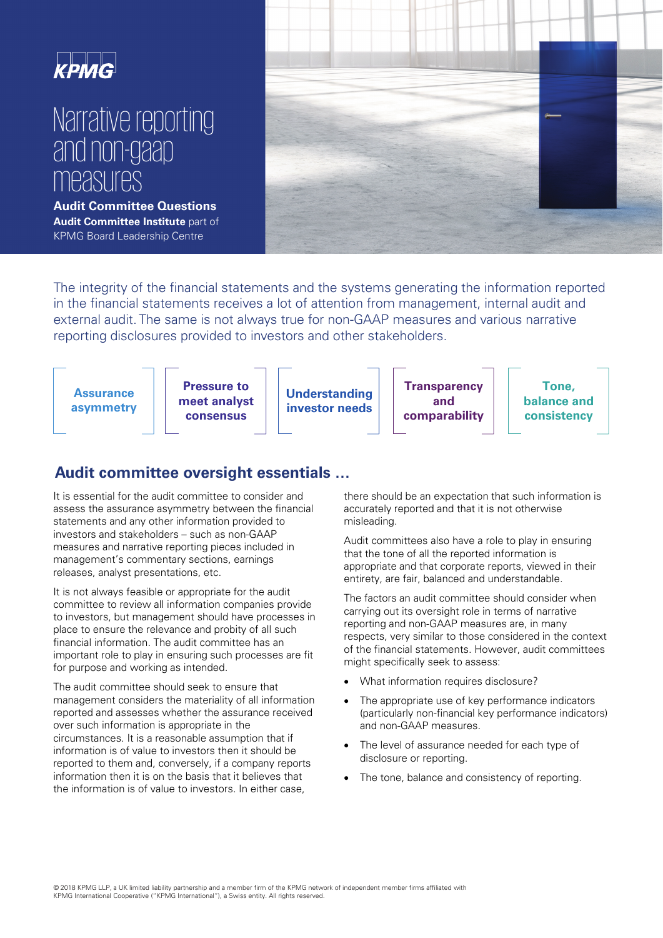# Narrative reporting and non-gaap measures

**Audit Committee Questions Audit Committee Institute** part of KPMG Board Leadership Centre



The integrity of the financial statements and the systems generating the information reported in the financial statements receives a lot of attention from management, internal audit and external audit. The same is not always true for non-GAAP measures and various narrative reporting disclosures provided to investors and other stakeholders.



# **Audit committee oversight essentials …**

It is essential for the audit committee to consider and assess the assurance asymmetry between the financial statements and any other information provided to investors and stakeholders – such as non-GAAP measures and narrative reporting pieces included in management's commentary sections, earnings releases, analyst presentations, etc.

It is not always feasible or appropriate for the audit committee to review all information companies provide to investors, but management should have processes in place to ensure the relevance and probity of all such financial information. The audit committee has an important role to play in ensuring such processes are fit for purpose and working as intended.

The audit committee should seek to ensure that management considers the materiality of all information reported and assesses whether the assurance received over such information is appropriate in the circumstances. It is a reasonable assumption that if information is of value to investors then it should be reported to them and, conversely, if a company reports information then it is on the basis that it believes that the information is of value to investors. In either case,

there should be an expectation that such information is accurately reported and that it is not otherwise misleading.

Audit committees also have a role to play in ensuring that the tone of all the reported information is appropriate and that corporate reports, viewed in their entirety, are fair, balanced and understandable.

The factors an audit committee should consider when carrying out its oversight role in terms of narrative reporting and non-GAAP measures are, in many respects, very similar to those considered in the context of the financial statements. However, audit committees might specifically seek to assess:

- What information requires disclosure?
- The appropriate use of key performance indicators (particularly non-financial key performance indicators) and non-GAAP measures.
- The level of assurance needed for each type of disclosure or reporting.
- The tone, balance and consistency of reporting.